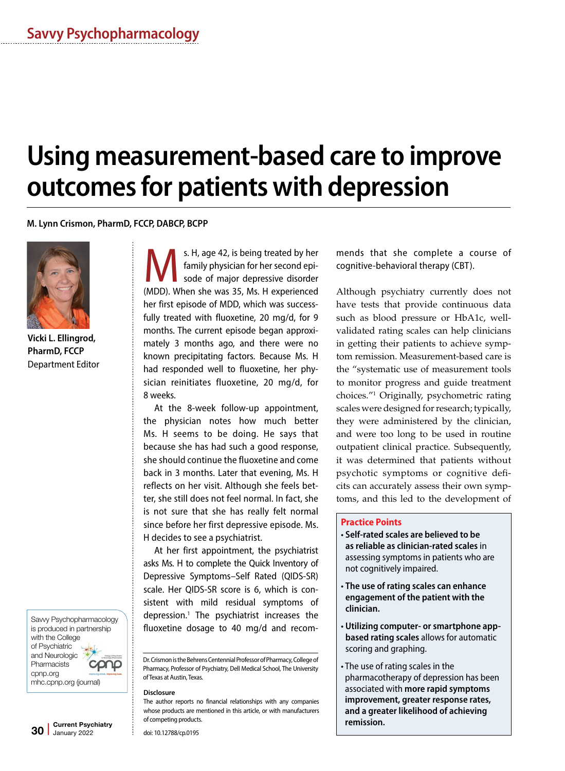# **Using measurement-based care to improve outcomes for patients with depression**

**M. Lynn Crismon, PharmD, FCCP, DABCP, BCPP**



**Vicki L. Ellingrod, PharmD, FCCP** Department Editor

Savvy Psychopharmacology is produced in partnership with the College of Psychiatric and Neurologic **Pharmacists** cpnp.org mhc.cpnp.org (journal)

S. H, age 42, is being treated by her<br>family physician for her second episode of major depressive disorder family physician for her second episode of major depressive disorder (MDD). When she was 35, Ms. H experienced her first episode of MDD, which was successfully treated with fluoxetine, 20 mg/d, for 9 months. The current episode began approximately 3 months ago, and there were no known precipitating factors. Because Ms. H had responded well to fluoxetine, her physician reinitiates fluoxetine, 20 mg/d, for 8 weeks.

At the 8-week follow-up appointment, the physician notes how much better Ms. H seems to be doing. He says that because she has had such a good response, she should continue the fluoxetine and come back in 3 months. Later that evening, Ms. H reflects on her visit. Although she feels better, she still does not feel normal. In fact, she is not sure that she has really felt normal since before her first depressive episode. Ms. H decides to see a psychiatrist.

At her first appointment, the psychiatrist asks Ms. H to complete the Quick Inventory of Depressive Symptoms–Self Rated (QIDS-SR) scale. Her QIDS-SR score is 6, which is consistent with mild residual symptoms of depression.1 The psychiatrist increases the fluoxetine dosage to 40 mg/d and recom-

Dr. Crismon is the Behrens Centennial Professor of Pharmacy, College of Pharmacy, Professor of Psychiatry, Dell Medical School, The University of Texas at Austin, Texas.

#### **Disclosure**

The author reports no financial relationships with any companies whose products are mentioned in this article, or with manufacturers of competing products.

doi: 10.12788/cp.0195

mends that she complete a course of cognitive-behavioral therapy (CBT).

Although psychiatry currently does not have tests that provide continuous data such as blood pressure or HbA1c, wellvalidated rating scales can help clinicians in getting their patients to achieve symptom remission. Measurement-based care is the "systematic use of measurement tools to monitor progress and guide treatment choices."1 Originally, psychometric rating scales were designed for research; typically, they were administered by the clinician, and were too long to be used in routine outpatient clinical practice. Subsequently, it was determined that patients without psychotic symptoms or cognitive deficits can accurately assess their own symptoms, and this led to the development of

### **Practice Points**

- **Self-rated scales are believed to be as reliable as clinician-rated scales** in assessing symptoms in patients who are not cognitively impaired.
- **The use of rating scales can enhance engagement of the patient with the clinician.**
- **Utilizing computer- or smartphone appbased rating scales** allows for automatic scoring and graphing.
- The use of rating scales in the pharmacotherapy of depression has been associated with **more rapid symptoms improvement, greater response rates, and a greater likelihood of achieving remission.**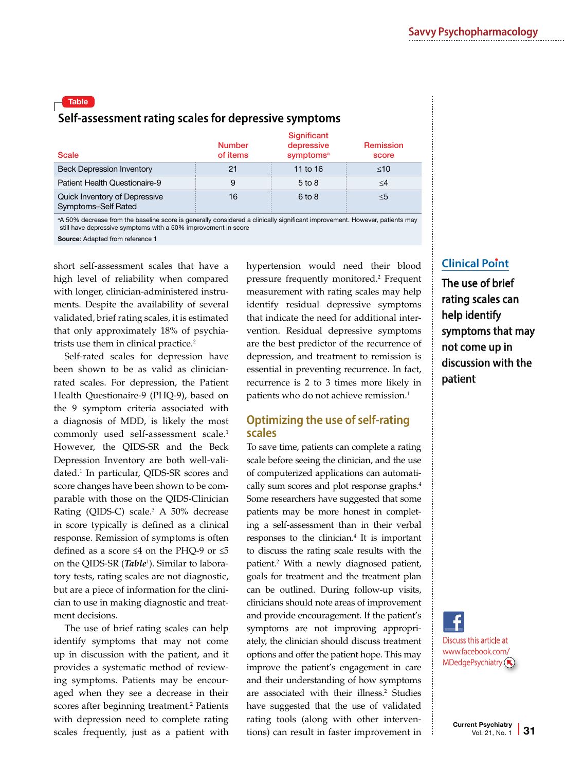# Table **Self-assessment rating scales for depressive symptoms**

| <b>Scale</b>                                         | <b>Number</b><br>of items | <b>Significant</b><br>depressive<br>symptoms <sup>a</sup> | <b>Remission</b><br>score |
|------------------------------------------------------|---------------------------|-----------------------------------------------------------|---------------------------|
| <b>Beck Depression Inventory</b>                     | 21                        | 11 to $16$                                                | $\leq 10$                 |
| Patient Health Questionaire-9                        | 9                         | $5$ to $8$                                                | $\leq$ 4                  |
| Quick Inventory of Depressive<br>Symptoms-Self Rated | 16                        | $6$ to $8$                                                | ≤5                        |

a A 50% decrease from the baseline score is generally considered a clinically significant improvement. However, patients may still have depressive symptoms with a 50% improvement in score

Source: Adapted from reference 1

short self-assessment scales that have a high level of reliability when compared with longer, clinician-administered instruments. Despite the availability of several validated, brief rating scales, it is estimated that only approximately 18% of psychiatrists use them in clinical practice.<sup>2</sup>

Self-rated scales for depression have been shown to be as valid as clinicianrated scales. For depression, the Patient Health Questionaire-9 (PHQ-9), based on the 9 symptom criteria associated with a diagnosis of MDD, is likely the most commonly used self-assessment scale.<sup>1</sup> However, the QIDS-SR and the Beck Depression Inventory are both well-validated.1 In particular, QIDS-SR scores and score changes have been shown to be comparable with those on the QIDS-Clinician Rating (QIDS-C) scale.<sup>3</sup> A 50% decrease in score typically is defined as a clinical response. Remission of symptoms is often defined as a score ≤4 on the PHQ-9 or ≤5 on the QIDS-SR (*Table*<sup>1</sup> ). Similar to laboratory tests, rating scales are not diagnostic, but are a piece of information for the clinician to use in making diagnostic and treatment decisions.

The use of brief rating scales can help identify symptoms that may not come up in discussion with the patient, and it provides a systematic method of reviewing symptoms. Patients may be encouraged when they see a decrease in their scores after beginning treatment.<sup>2</sup> Patients with depression need to complete rating scales frequently, just as a patient with hypertension would need their blood pressure frequently monitored.2 Frequent measurement with rating scales may help identify residual depressive symptoms that indicate the need for additional intervention. Residual depressive symptoms are the best predictor of the recurrence of depression, and treatment to remission is essential in preventing recurrence. In fact, recurrence is 2 to 3 times more likely in patients who do not achieve remission.<sup>1</sup>

## **Optimizing the use of self-rating scales**

To save time, patients can complete a rating scale before seeing the clinician, and the use of computerized applications can automatically sum scores and plot response graphs.<sup>4</sup> Some researchers have suggested that some patients may be more honest in completing a self-assessment than in their verbal responses to the clinician.<sup>4</sup> It is important to discuss the rating scale results with the patient.2 With a newly diagnosed patient, goals for treatment and the treatment plan can be outlined. During follow-up visits, clinicians should note areas of improvement and provide encouragement. If the patient's symptoms are not improving appropriately, the clinician should discuss treatment options and offer the patient hope. This may improve the patient's engagement in care and their understanding of how symptoms are associated with their illness.<sup>2</sup> Studies have suggested that the use of validated rating tools (along with other interventions) can result in faster improvement in

# **Clinical Point**

The use of brief rating scales can help identify symptoms that may not come up in discussion with the patient